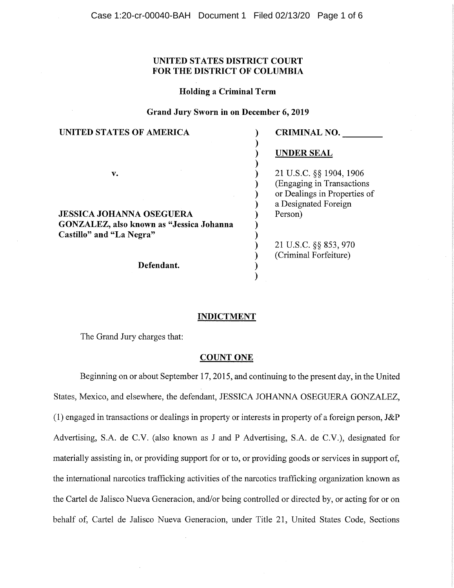# **UNITED STATES DISTRICT COURT FOR THE DISTRICT OF COLUMBIA**

## **Holding a Criminal Term**

# **Grand Jury Sworn in on December 6, 2019**

| UNITED STATES OF AMERICA                                                           | <b>CRIMINAL NO.</b>                                                                   |
|------------------------------------------------------------------------------------|---------------------------------------------------------------------------------------|
|                                                                                    | <b>UNDER SEAL</b>                                                                     |
| v.                                                                                 | 21 U.S.C. §§ 1904, 1906<br>(Engaging in Transactions)<br>or Dealings in Properties of |
| <b>JESSICA JOHANNA OSEGUERA</b>                                                    | a Designated Foreign<br>Person)                                                       |
| GONZALEZ, also known as "Jessica Johanna<br>Castillo" and "La Negra"<br>Defendant. |                                                                                       |
|                                                                                    | 21 U.S.C. §§ 853, 970<br>(Criminal Forfeiture)                                        |
|                                                                                    |                                                                                       |

# **INDICTMENT**

The Grand Jury charges that:

### **COUNT ONE**

Beginning on or about September 17, 2015, and continuing to the present day, in the United States, Mexico, and elsewhere, the defendant, JESSICA JOHANNA OSEGUERA GONZALEZ, (1) engaged in transactions or dealings in property or interests in property of a foreign person, J&P Advertising, S.A. de C.V. (also known as J and P Advertising, S.A. de C.V.), designated for materially assisting in, or providing support for or to, or providing goods or services in support of, the international narcotics trafficking activities of the narcotics trafficking organization known as the Cartel de Jalisco Nueva Generacion, and/or being controlled or directed by, or acting for or on behalf of, Cartel de Jalisco Nueva Generacion, under Title 21, United States Code, Sections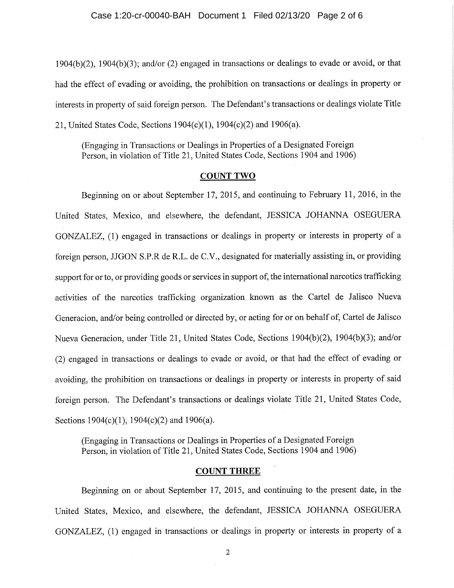1904(b)(2), 1904(b)(3); and/or (2) engaged in transactions or dealings to evade or avoid, or that had the effect of evading or avoiding, the prohibition on transactions or dealings in property or interests in property of said foreign person. The Defendant's transactions or dealings violate Title 21, United States Code, Sections 1904(c)(1), 1904(c)(2) and 1906(a).

(Engaging in Transactions or Dealings in Properties of a Designated Foreign Person, in violation of Title 21, United States Code, Sections 1904 and 1906)

## COUNT TWO

Beginning on or about September 17, 2015, and continuing to February 11, 2016, in the United States, Mexico, and elsewhere, the defendant, JESSICA JOHANNA OSEGUERA GONZALEZ, (1) engaged in transactions or dealings in property or interests in property of a foreign person, JJGON S.P.R de R.L. de C.V., designated for materially assisting in, or providing support for or to, or providing goods or services in support of, the international narcotics trafficking activities of the narcotics trafficking organization known as the Cartel de Jalisco Nueva Generacion, and/or being controlled or directed by, or acting for or on behalf of, Cartel de Jalisco Nueva Generacion, under Title 21, United States Code, Sections 1904(b)(2), 1904(b)(3); and/or (2) engaged in transactions or dealings to evade or avoid, or that had the effect of evading or avoiding, the prohibition on transactions or dealings in property or interests in property of said foreign person. The Defendant's transactions or dealings violate Title 21, United States Code, Sections 1904(c)(1), 1904(c)(2) and 1906(a).

(Engaging in Transactions or Dealings in Properties of a Designated Foreign Person, in violation of Title 21, United States Code, Sections 1904 and 1906)

### COUNT THREE

Beginning on or about September 17, 2015, and continuing to the present date, in the United States, Mexico, and elsewhere, the defendant, JESSICA JOHANNA OSEGUERA GONZALEZ, (1) engaged in transactions or dealings in property or interests in property of a

2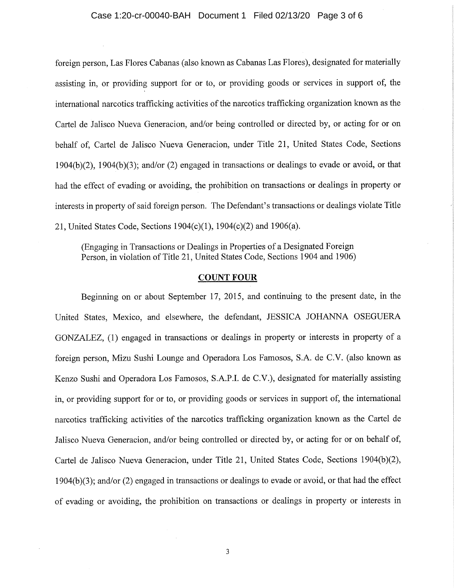## Case 1:20-cr-00040-BAH Document 1 Filed 02/13/20 Page 3 of 6

foreign person, Las Flores Cabanas (also known as Cabanas Las Flores), designated for materially assisting in, or providing support for or to, or providing goods or services in support of, the international narcotics trafficking activities of the narcotics trafficking organization known as the Cartel de Jalisco Nueva Generacion, and/or being controlled or directed by, or acting for or on behalf of, Cartel de Jalisco Nueva Generacion, under Title 21, United States Code, Sections 1904(b)(2), 1904(b)(3); and/or (2) engaged in transactions or dealings to evade or avoid, or that had the effect of evading or avoiding, the prohibition on transactions or dealings in property or interests in property of said foreign person. The Defendant's transactions or dealings violate Title 21, United States Code, Sections 1904(c)(1), 1904(c)(2) and 1906(a).

(Engaging in Transactions or Dealings in Properties of a Designated Foreign Person, in violation of Title 21, United States Code, Sections 1904 and 1906)

## COUNT FOUR

Beginning on or about September 17, 2015, and continuing to the present date, in the United States, Mexico, and elsewhere, the defendant, JESSICA JOHANNA OSEGUERA GONZALEZ, (1) engaged in transactions or dealings in property or interests in property of a foreign person, Mizu Sushi Lounge and Operadora Los Famosos, S.A. de C.V. (also known as Kenzo Sushi and Operadora Los Famosos, S.A.P.I. de C.V.), designated for materially assisting in, or providing support for or to, or providing goods or services in support of, the international narcotics trafficking activities of the narcotics trafficking organization known as the Cartel de Jalisco Nueva Generacion, and/or being controlled or directed by, or acting for or on behalf of, Cartel de Jalisco Nueva Generacion, under Title 21, United States Code, Sections 1904(b)(2), 1904(b)(3); and/or (2) engaged in transactions or dealings to evade or avoid, or that had the effect of evading or avoiding, the prohibition on transactions or dealings in property or interests in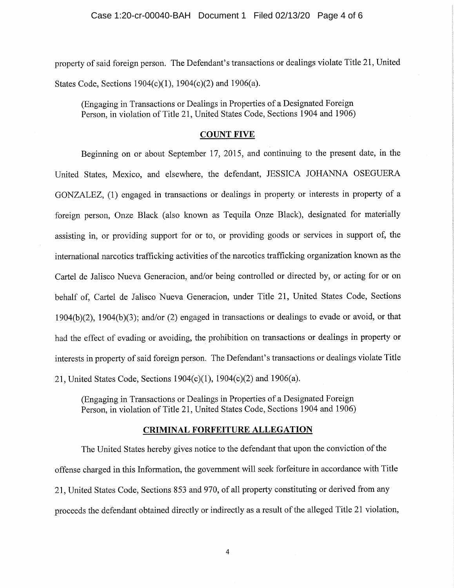property of said foreign person. The Defendant's transactions or dealings violate Title 21, United States Code, Sections 1904(c)(1), 1904(c)(2) and 1906(a).

(Engaging in Transactions or Dealings in Properties of a Designated Foreign Person, in violation of Title 21, United States Code, Sections 1904 and 1906)

### **COUNT FIVE**

Beginning on or about September 17, 2015, and continuing to the present date, in the United States, Mexico, and elsewhere, the defendant, JESSICA JOHANNA OSEGUERA GONZALEZ, (1) engaged in transactions or dealings in property or interests in property of a foreign person, Onze Black (also known as Tequila Onze Black), designated for materially assisting in, or providing support for or to, or providing goods or services in support of, the international narcotics trafficking activities of the narcotics trafficking organization known as the Cartel de Jalisco Nueva Generacion, and/or being controlled or directed by, or acting for or on behalf of, Cartel de Jalisco Nueva Generacion, under Title 21, United States Code, Sections 1904(b)(2), 1904(b)(3); and/or (2) engaged in transactions or dealings to evade or avoid, or that had the effect of evading or avoiding, the prohibition on transactions or dealings in property or interests in property of said foreign person. The Defendant's transactions or dealings violate Title 21, United States Code, Sections 1904(c)(1), 1904(c)(2) and 1906(a).

(Engaging in Transactions or Dealings in Properties of a Designated Foreign Person, in violation of Title 21, United States Code, Sections 1904 and 1906)

### **CRIMINAL FORFEITURE ALLEGATION**

The United States hereby gives notice to the defendant that upon the conviction of the offense charged in this Information, the government will seek forfeiture in accordance with Title 21, United States Code, Sections 853 and 970, of all property constituting or derived from any proceeds the defendant obtained directly or indirectly as a result of the alleged Title 21 violation,

4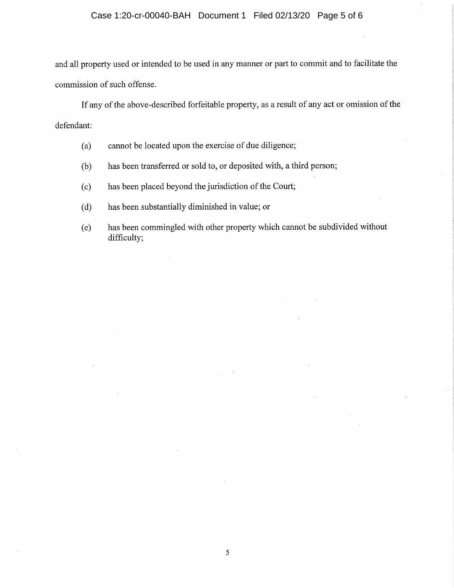# Case 1:20-cr-00040-BAH Document 1 Filed 02/13/20 Page 5 of 6

and all property used or intended to be used in any manner or part to commit and to facilitate the commission of such offense.

If any of the above-described forfeitable property, as a result of any act or omission of the defendant:

- (a) cannot be located upon the exercise of due diligence;
- (b) has been transferred or sold to, or deposited with, a third person;
- (c) has been placed beyond the jurisdiction of the Court;
- (d) has been substantially diminished in value; or
- (e) has been commingled with other property which cannot be subdivided without difficulty;